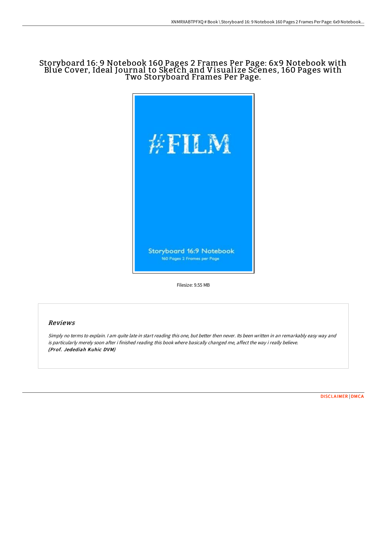# Storyboard 16: 9 Notebook 160 Pages 2 Frames Per Page: 6x9 Notebook with Blue Cover, Ideal Journal to Sketch and Visualize Scenes, 160 Pages with Two Storyboard Frames Per Page.



Filesize: 9.55 MB

# Reviews

Simply no terms to explain. I am quite late in start reading this one, but better then never. Its been written in an remarkably easy way and is particularly merely soon after i finished reading this book where basically changed me, affect the way i really believe. (Prof. Jedediah Kuhic DVM)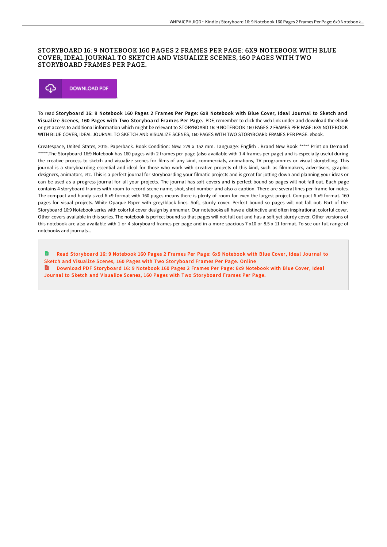#### STORYBOARD 16: 9 NOTEBOOK 160 PAGES 2 FRAMES PER PAGE: 6X9 NOTEBOOK WITH BLUE COVER, IDEAL JOURNAL TO SKETCH AND VISUALIZE SCENES, 160 PAGES WITH TWO STORYBOARD FRAMES PER PAGE.



To read Storyboard 16: 9 Notebook 160 Pages 2 Frames Per Page: 6x9 Notebook with Blue Cover, Ideal Journal to Sketch and Visualize Scenes, 160 Pages with Two Storyboard Frames Per Page. PDF, remember to click the web link under and download the ebook or get access to additional information which might be relevant to STORYBOARD 16: 9 NOTEBOOK 160 PAGES 2 FRAMES PER PAGE: 6X9 NOTEBOOK WITH BLUE COVER, IDEAL JOURNAL TO SKETCH AND VISUALIZE SCENES, 160 PAGES WITH TWO STORYBOARD FRAMES PER PAGE. ebook.

Createspace, United States, 2015. Paperback. Book Condition: New. 229 x 152 mm. Language: English . Brand New Book \*\*\*\*\* Print on Demand \*\*\*\*\*.The Storyboard 16:9 Notebook has 160 pages with 2 frames per page (also available with 14 frames per page) and is especially useful during the creative process to sketch and visualize scenes for films of any kind, commercials, animations, TV programmes or visual storytelling. This journal is a storyboarding essential and ideal for those who work with creative projects of this kind, such as filmmakers, advertisers, graphic designers, animators, etc. This is a perfect journal for storyboarding your filmatic projects and is great for jotting down and planning your ideas or can be used as a progress journal for all your projects. The journal has soft covers and is perfect bound so pages will not fall out. Each page contains 4 storyboard frames with room to record scene name, shot, shot number and also a caption. There are several lines per frame for notes. The compact and handy-sized 6 x9 format with 160 pages means there is plenty of room for even the largest project. Compact 6 x9 format. 160 pages for visual projects. White Opaque Paper with grey/black lines. Soft, sturdy cover. Perfect bound so pages will not fall out. Part of the Storyboard 16:9 Notebook series with colorful cover design by annumar. Our notebooks all have a distinctive and often inspirational colorful cover. Other covers available in this series. The notebook is perfect bound so that pages will not fall out and has a soft yet sturdy cover. Other versions of this notebook are also available with 1 or 4 storyboard frames per page and in a more spacious 7 x10 or 8.5 x 11 format. To see our full range of notebooks and journals...

Read Stor yboard 16: 9 [Notebook](http://digilib.live/storyboard-16-9-notebook-160-pages-2-frames-per--9.html) 160 Pages 2 Frames Per Page: 6x9 Notebook with Blue Cover, Ideal Journal to Sketch and Visualize Scenes, 160 Pages with Two Storyboard Frames Per Page. Online A [Download](http://digilib.live/storyboard-16-9-notebook-160-pages-2-frames-per--9.html) PDF Stor yboard 16: 9 Notebook 160 Pages 2 Frames Per Page: 6x9 Notebook with Blue Cover, Ideal Journal to Sketch and Visualize Scenes, 160 Pages with Two Storyboard Frames Per Page.